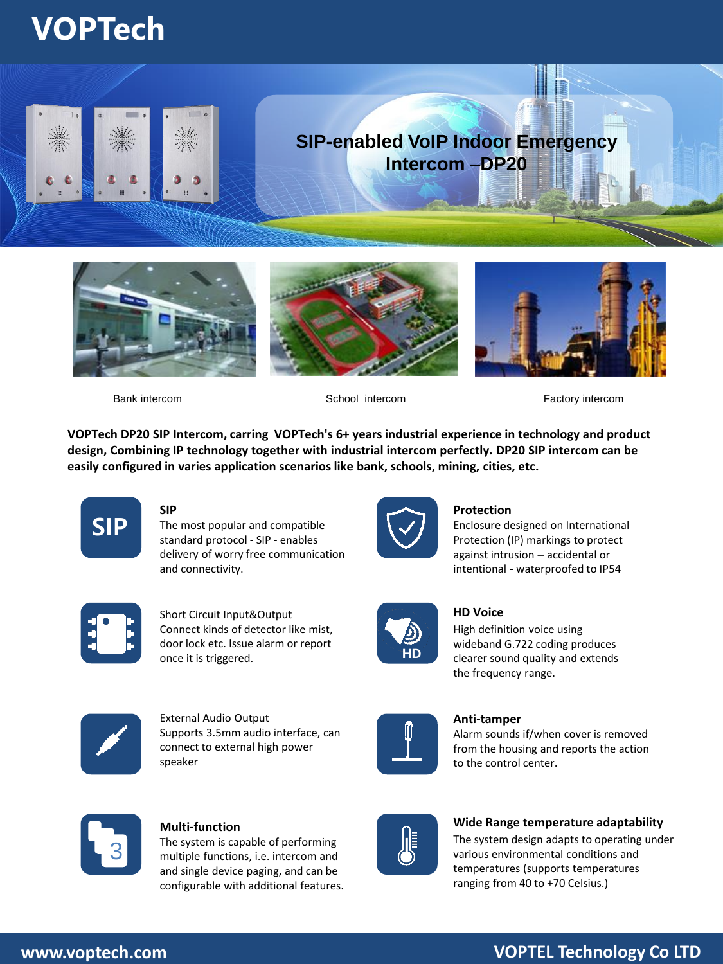## **VOPTech**









**SIP**

Bank intercom School intercom Factory intercom

**VOPTech DP20 SIP Intercom, carring VOPTech's 6+ years industrial experience in technology and product design, Combining IP technology together with industrial intercom perfectly. DP20 SIP intercom can be easily configured in varies application scenarios like bank, schools, mining, cities, etc.**



The most popular and compatible standard protocol - SIP - enables delivery of worry free communication and connectivity.



## **Protection**

Enclosure designed on International Protection (IP) markings to protect against intrusion – accidental or intentional - waterproofed to IP54



Short Circuit Input&Output Connect kinds of detector like mist, door lock etc. Issue alarm or report once it is triggered.



**HD**

## **HD Voice**

High definition voice using wideband G.722 coding produces clearer sound quality and extends the frequency range.



External Audio Output Supports 3.5mm audio interface, can connect to external high power speaker



**Anti-tamper** 

Alarm sounds if/when cover is removed from the housing and reports the action to the control center.



## **Multi-function**

The system is capable of performing multiple functions, i.e. intercom and and single device paging, and can be configurable with additional features.



**Wide Range temperature adaptability**

The system design adapts to operating under various environmental conditions and temperatures (supports temperatures ranging from 40 to +70 Celsius.)